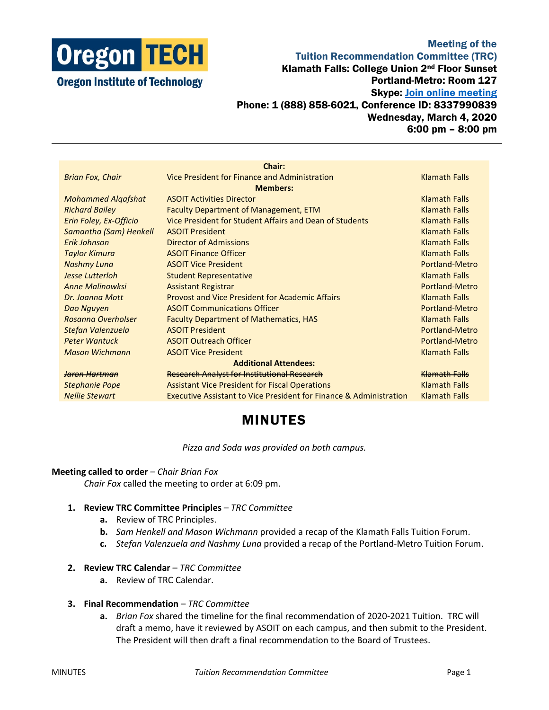

# Meeting of the Tuition Recommendation Committee (TRC) Klamath Falls: College Union 2nd Floor Sunset Portland-Metro: Room 127 Skype: [Join online meeting](https://meet.lync.com/oregontech/sunset/PCY0F811) Phone: 1 (888) 858-6021, Conference ID: 8337990839 Wednesday, March 4, 2020 6:00 pm – 8:00 pm

| Chair:                       |                                                                               |                       |
|------------------------------|-------------------------------------------------------------------------------|-----------------------|
| <b>Brian Fox, Chair</b>      | Vice President for Finance and Administration                                 | <b>Klamath Falls</b>  |
| <b>Members:</b>              |                                                                               |                       |
| <b>Mohammed Algafshat</b>    | <b>ASOIT Activities Director</b>                                              | Klamath Falls         |
| <b>Richard Bailey</b>        | <b>Faculty Department of Management, ETM</b>                                  | <b>Klamath Falls</b>  |
| Erin Foley, Ex-Officio       | Vice President for Student Affairs and Dean of Students                       | <b>Klamath Falls</b>  |
| Samantha (Sam) Henkell       | <b>ASOIT President</b>                                                        | <b>Klamath Falls</b>  |
| Frik Johnson                 | Director of Admissions                                                        | <b>Klamath Falls</b>  |
| <b>Taylor Kimura</b>         | <b>ASOIT Finance Officer</b>                                                  | <b>Klamath Falls</b>  |
| <b>Nashmy Luna</b>           | <b>ASOIT Vice President</b>                                                   | Portland-Metro        |
| Jesse Lutterloh              | <b>Student Representative</b>                                                 | <b>Klamath Falls</b>  |
| <b>Anne Malinowksi</b>       | <b>Assistant Registrar</b>                                                    | Portland-Metro        |
| Dr. Joanna Mott              | <b>Provost and Vice President for Academic Affairs</b>                        | <b>Klamath Falls</b>  |
| Dao Nguyen                   | <b>ASOIT Communications Officer</b>                                           | Portland-Metro        |
| Rosanna Overholser           | <b>Faculty Department of Mathematics, HAS</b>                                 | <b>Klamath Falls</b>  |
| Stefan Valenzuela            | <b>ASOIT President</b>                                                        | <b>Portland-Metro</b> |
| <b>Peter Wantuck</b>         | <b>ASOIT Outreach Officer</b>                                                 | Portland-Metro        |
| <b>Mason Wichmann</b>        | <b>ASOIT Vice President</b>                                                   | <b>Klamath Falls</b>  |
| <b>Additional Attendees:</b> |                                                                               |                       |
| Jaron Hartman                | <b>Research Analyst for Institutional Research</b>                            | Klamath Falls         |
| <b>Stephanie Pope</b>        | <b>Assistant Vice President for Fiscal Operations</b>                         | <b>Klamath Falls</b>  |
| <b>Nellie Stewart</b>        | <b>Executive Assistant to Vice President for Finance &amp; Administration</b> | <b>Klamath Falls</b>  |
|                              |                                                                               |                       |

# MINUTES

*Pizza and Soda was provided on both campus.*

#### **Meeting called to order** – *Chair Brian Fox*

*Chair Fox* called the meeting to order at 6:09 pm.

## **1. Review TRC Committee Principles** – *TRC Committee*

- **a.** Review of TRC Principles.
- **b.** *Sam Henkell and Mason Wichmann* provided a recap of the Klamath Falls Tuition Forum.
- **c.** *Stefan Valenzuela and Nashmy Luna* provided a recap of the Portland-Metro Tuition Forum.

#### **2. Review TRC Calendar** – *TRC Committee*

**a.** Review of TRC Calendar.

#### **3. Final Recommendation** – *TRC Committee*

**a.** *Brian Fox* shared the timeline for the final recommendation of 2020-2021 Tuition. TRC will draft a memo, have it reviewed by ASOIT on each campus, and then submit to the President. The President will then draft a final recommendation to the Board of Trustees.